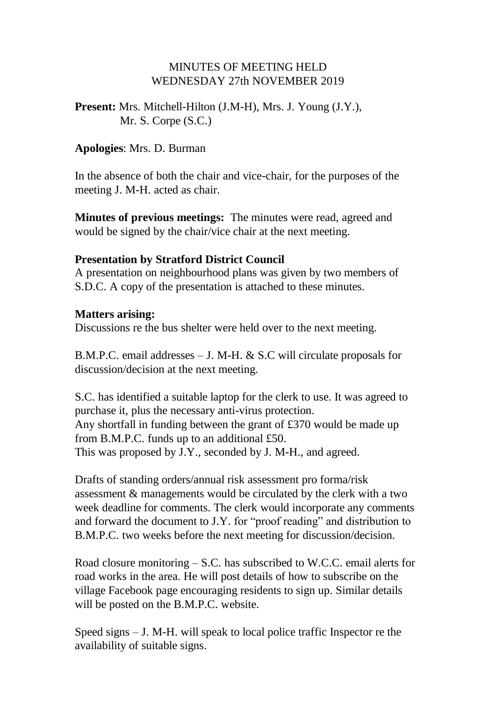### MINUTES OF MEETING HELD WEDNESDAY 27th NOVEMBER 2019

### **Present:** Mrs. Mitchell-Hilton (J.M-H), Mrs. J. Young (J.Y.), Mr. S. Corpe (S.C.)

#### **Apologies**: Mrs. D. Burman

In the absence of both the chair and vice-chair, for the purposes of the meeting J. M-H. acted as chair.

**Minutes of previous meetings:** The minutes were read, agreed and would be signed by the chair/vice chair at the next meeting.

#### **Presentation by Stratford District Council**

A presentation on neighbourhood plans was given by two members of S.D.C. A copy of the presentation is attached to these minutes.

#### **Matters arising:**

Discussions re the bus shelter were held over to the next meeting.

B.M.P.C. email addresses – J. M-H. & S.C will circulate proposals for discussion/decision at the next meeting.

S.C. has identified a suitable laptop for the clerk to use. It was agreed to purchase it, plus the necessary anti-virus protection. Any shortfall in funding between the grant of £370 would be made up from B.M.P.C. funds up to an additional £50. This was proposed by J.Y., seconded by J. M-H., and agreed.

Drafts of standing orders/annual risk assessment pro forma/risk assessment & managements would be circulated by the clerk with a two week deadline for comments. The clerk would incorporate any comments and forward the document to J.Y. for "proof reading" and distribution to B.M.P.C. two weeks before the next meeting for discussion/decision.

Road closure monitoring – S.C. has subscribed to W.C.C. email alerts for road works in the area. He will post details of how to subscribe on the village Facebook page encouraging residents to sign up. Similar details will be posted on the B.M.P.C. website.

Speed signs – J. M-H. will speak to local police traffic Inspector re the availability of suitable signs.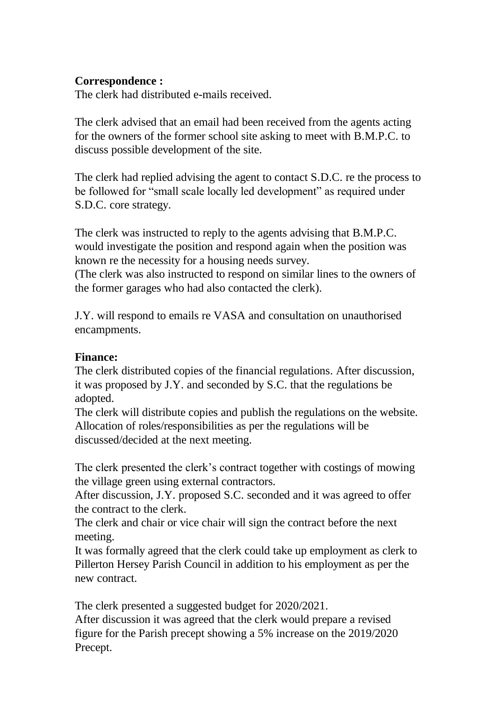### **Correspondence :**

The clerk had distributed e-mails received.

The clerk advised that an email had been received from the agents acting for the owners of the former school site asking to meet with B.M.P.C. to discuss possible development of the site.

The clerk had replied advising the agent to contact S.D.C. re the process to be followed for "small scale locally led development" as required under S.D.C. core strategy.

The clerk was instructed to reply to the agents advising that B.M.P.C. would investigate the position and respond again when the position was known re the necessity for a housing needs survey. (The clerk was also instructed to respond on similar lines to the owners of the former garages who had also contacted the clerk).

J.Y. will respond to emails re VASA and consultation on unauthorised encampments.

### **Finance:**

The clerk distributed copies of the financial regulations. After discussion, it was proposed by J.Y. and seconded by S.C. that the regulations be adopted.

The clerk will distribute copies and publish the regulations on the website. Allocation of roles/responsibilities as per the regulations will be discussed/decided at the next meeting.

The clerk presented the clerk's contract together with costings of mowing the village green using external contractors.

After discussion, J.Y. proposed S.C. seconded and it was agreed to offer the contract to the clerk.

The clerk and chair or vice chair will sign the contract before the next meeting.

It was formally agreed that the clerk could take up employment as clerk to Pillerton Hersey Parish Council in addition to his employment as per the new contract.

The clerk presented a suggested budget for 2020/2021.

After discussion it was agreed that the clerk would prepare a revised figure for the Parish precept showing a 5% increase on the 2019/2020 Precept.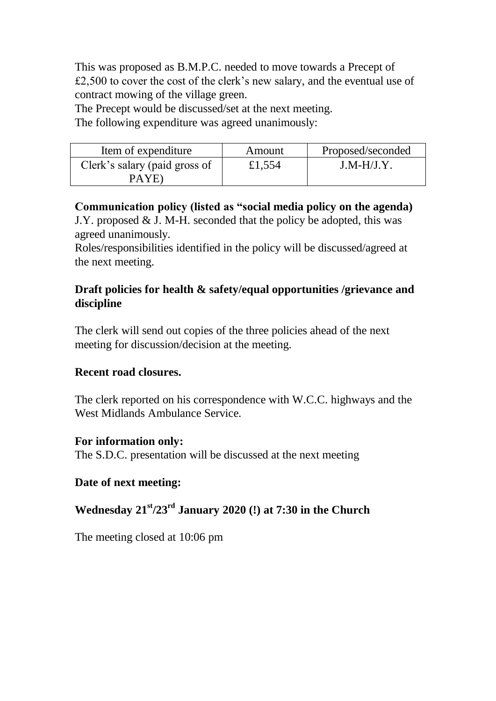This was proposed as B.M.P.C. needed to move towards a Precept of £2,500 to cover the cost of the clerk's new salary, and the eventual use of contract mowing of the village green.

The Precept would be discussed/set at the next meeting.

The following expenditure was agreed unanimously:

| Item of expenditure                     | Amount | Proposed/seconded |
|-----------------------------------------|--------|-------------------|
| Clerk's salary (paid gross of<br>PA YE) | £1,554 | $J.M-H/J.Y$       |

**Communication policy (listed as "social media policy on the agenda)** J.Y. proposed & J. M-H. seconded that the policy be adopted, this was agreed unanimously.

Roles/responsibilities identified in the policy will be discussed/agreed at the next meeting.

# **Draft policies for health & safety/equal opportunities /grievance and discipline**

The clerk will send out copies of the three policies ahead of the next meeting for discussion/decision at the meeting.

# **Recent road closures.**

The clerk reported on his correspondence with W.C.C. highways and the West Midlands Ambulance Service.

# **For information only:**

The S.D.C. presentation will be discussed at the next meeting

# **Date of next meeting:**

# **Wednesday 21 st/23rd January 2020 (!) at 7:30 in the Church**

The meeting closed at 10:06 pm